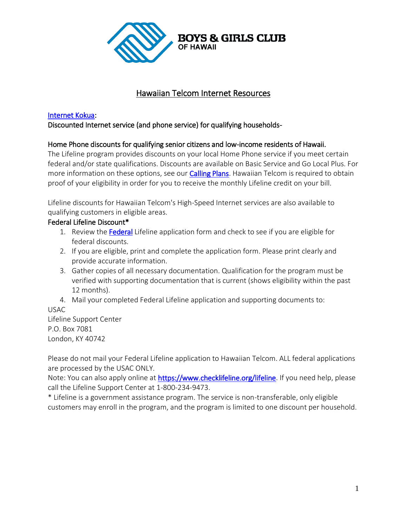

# Hawaiian Telcom Internet Resources

#### [Internet Kokua:](http://www.hawaiiantel.com/Residential/DiscountedservicesforqualifiedHawaiiresidents/tabid/1624/Default.aspx)

Discounted Internet service (and phone service) for qualifying households-

## Home Phone discounts for qualifying senior citizens and low-income residents of Hawaii.

The Lifeline program provides discounts on your local Home Phone service if you meet certain federal and/or state qualifications. Discounts are available on Basic Service and Go Local Plus. For more information on these options, see our [Calling Plans.](http://www.hawaiiantel.com/Homephone/CallingPlans/tabid/1380/Default.aspx) Hawaiian Telcom is required to obtain proof of your eligibility in order for you to receive the monthly Lifeline credit on your bill.

Lifeline discounts for Hawaiian Telcom's High-Speed Internet services are also available to qualifying customers in eligible areas.

## Federal Lifeline Discount\*

- 1. Review the **[Federal](http://www.hawaiiantel.com/Portals/0/pdfs/Lifeline-FederalApplication_Form_2020.pdf)** Lifeline application form and check to see if you are eligible for federal discounts.
- 2. If you are eligible, print and complete the application form. Please print clearly and provide accurate information.
- 3. Gather copies of all necessary documentation. Qualification for the program must be verified with supporting documentation that is current (shows eligibility within the past 12 months).
- 4. Mail your completed Federal Lifeline application and supporting documents to: USAC

Lifeline Support Center P.O. Box 7081 London, KY 40742

Please do not mail your Federal Lifeline application to Hawaiian Telcom. ALL federal applications are processed by the USAC ONLY.

Note: You can also apply online at [https://www.checklifeline.org/lifeline.](https://www.checklifeline.org/lifeline) If you need help, please call the Lifeline Support Center at 1-800-234-9473.

\* Lifeline is a government assistance program. The service is non-transferable, only eligible customers may enroll in the program, and the program is limited to one discount per household.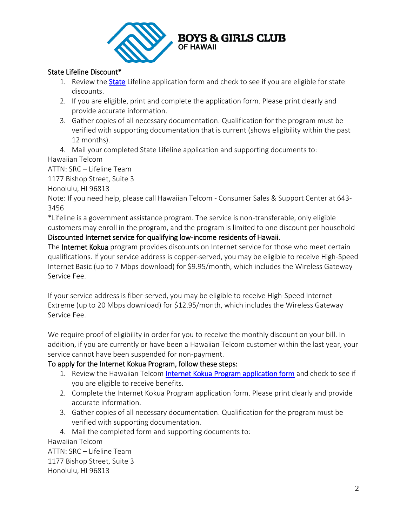

## State Lifeline Discount\*

- 1. Review the **[State](http://www.hawaiiantel.com/Portals/0/pdfs/State%20-%20Initial%20Lifeline%20Application%20-%2001-10-19.pdf)** Lifeline application form and check to see if you are eligible for state discounts.
- 2. If you are eligible, print and complete the application form. Please print clearly and provide accurate information.
- 3. Gather copies of all necessary documentation. Qualification for the program must be verified with supporting documentation that is current (shows eligibility within the past 12 months).
- 4. Mail your completed State Lifeline application and supporting documents to: Hawaiian Telcom

ATTN: SRC – Lifeline Team

1177 Bishop Street, Suite 3

Honolulu, HI 96813

Note: If you need help, please call Hawaiian Telcom - Consumer Sales & Support Center at 643- 3456

\*Lifeline is a government assistance program. The service is non-transferable, only eligible customers may enroll in the program, and the program is limited to one discount per household

Discounted Internet service for qualifying low-income residents of Hawaii.

The Internet Kokua program provides discounts on Internet service for those who meet certain qualifications. If your service address is copper-served, you may be eligible to receive High-Speed Internet Basic (up to 7 Mbps download) for \$9.95/month, which includes the Wireless Gateway Service Fee.

If your service address is fiber-served, you may be eligible to receive High-Speed Internet Extreme (up to 20 Mbps download) for \$12.95/month, which includes the Wireless Gateway Service Fee.

We require proof of eligibility in order for you to receive the monthly discount on your bill. In addition, if you are currently or have been a Hawaiian Telcom customer within the last year, your service cannot have been suspended for non-payment.

## To apply for the Internet Kokua Program, follow these steps:

- 1. Review the Hawaiian Telcom [Internet Kokua Program application form](http://www.hawaiiantel.com/Portals/0/pdfs/Internet-Kokua-Program-Enrollment-Form-20200217.pdf) and check to see if you are eligible to receive benefits.
- 2. Complete the Internet Kokua Program application form. Please print clearly and provide accurate information.
- 3. Gather copies of all necessary documentation. Qualification for the program must be verified with supporting documentation.
- 4. Mail the completed form and supporting documents to:

Hawaiian Telcom ATTN: SRC – Lifeline Team 1177 Bishop Street, Suite 3 Honolulu, HI 96813